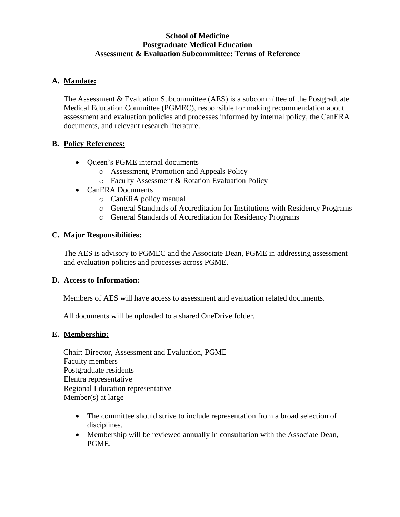#### **School of Medicine Postgraduate Medical Education Assessment & Evaluation Subcommittee: Terms of Reference**

## **A. Mandate:**

The Assessment & Evaluation Subcommittee (AES) is a subcommittee of the Postgraduate Medical Education Committee (PGMEC), responsible for making recommendation about assessment and evaluation policies and processes informed by internal policy, the CanERA documents, and relevant research literature.

#### **B. Policy References:**

- Oueen's PGME internal documents
	- o Assessment, Promotion and Appeals Policy
	- o Faculty Assessment & Rotation Evaluation Policy
- CanERA Documents
	- o CanERA policy manual
	- o General Standards of Accreditation for Institutions with Residency Programs
	- o General Standards of Accreditation for Residency Programs

## **C. Major Responsibilities:**

The AES is advisory to PGMEC and the Associate Dean, PGME in addressing assessment and evaluation policies and processes across PGME.

#### **D. Access to Information:**

Members of AES will have access to assessment and evaluation related documents.

All documents will be uploaded to a shared OneDrive folder.

#### **E. Membership:**

Chair: Director, Assessment and Evaluation, PGME Faculty members Postgraduate residents Elentra representative Regional Education representative Member(s) at large

- The committee should strive to include representation from a broad selection of disciplines.
- Membership will be reviewed annually in consultation with the Associate Dean, PGME.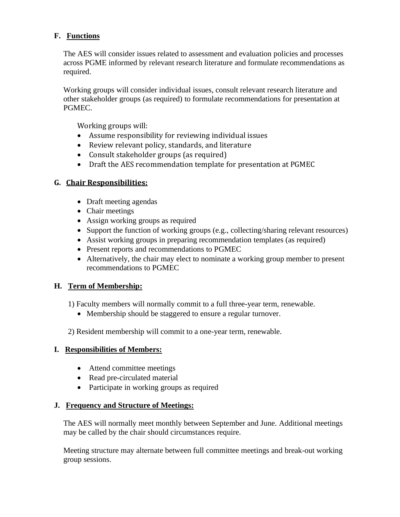# **F. Functions**

The AES will consider issues related to assessment and evaluation policies and processes across PGME informed by relevant research literature and formulate recommendations as required.

Working groups will consider individual issues, consult relevant research literature and other stakeholder groups (as required) to formulate recommendations for presentation at PGMEC.

Working groups will:

- Assume responsibility for reviewing individual issues
- Review relevant policy, standards, and literature
- Consult stakeholder groups (as required)
- Draft the AES recommendation template for presentation at PGMEC

## **G. Chair Responsibilities:**

- Draft meeting agendas
- Chair meetings
- Assign working groups as required
- Support the function of working groups (e.g., collecting/sharing relevant resources)
- Assist working groups in preparing recommendation templates (as required)
- Present reports and recommendations to PGMEC
- Alternatively, the chair may elect to nominate a working group member to present recommendations to PGMEC

## **H. Term of Membership:**

1) Faculty members will normally commit to a full three-year term, renewable.

- Membership should be staggered to ensure a regular turnover.
- 2) Resident membership will commit to a one-year term, renewable.

## **I. Responsibilities of Members:**

- Attend committee meetings
- Read pre-circulated material
- Participate in working groups as required

## **J. Frequency and Structure of Meetings:**

The AES will normally meet monthly between September and June. Additional meetings may be called by the chair should circumstances require.

Meeting structure may alternate between full committee meetings and break-out working group sessions.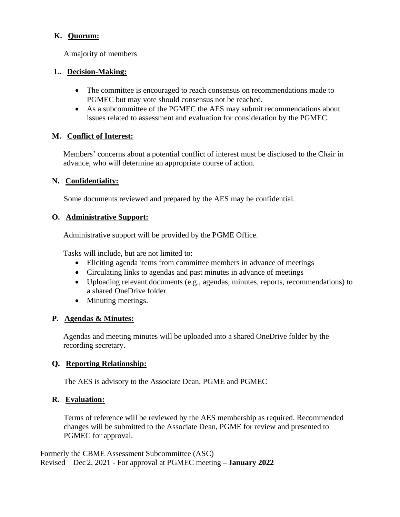## **K. Quorum:**

A majority of members

## **L. Decision-Making:**

- The committee is encouraged to reach consensus on recommendations made to PGMEC but may vote should consensus not be reached.
- As a subcommittee of the PGMEC the AES may submit recommendations about issues related to assessment and evaluation for consideration by the PGMEC.

## **M. Conflict of Interest:**

Members' concerns about a potential conflict of interest must be disclosed to the Chair in advance, who will determine an appropriate course of action.

## **N. Confidentiality:**

Some documents reviewed and prepared by the AES may be confidential.

# **O. Administrative Support:**

Administrative support will be provided by the PGME Office.

Tasks will include, but are not limited to:

- Eliciting agenda items from committee members in advance of meetings
- Circulating links to agendas and past minutes in advance of meetings
- Uploading relevant documents (e.g., agendas, minutes, reports, recommendations) to a shared OneDrive folder.
- Minuting meetings.

## **P. Agendas & Minutes:**

Agendas and meeting minutes will be uploaded into a shared OneDrive folder by the recording secretary.

# **Q. Reporting Relationship:**

The AES is advisory to the Associate Dean, PGME and PGMEC

## **R. Evaluation:**

Terms of reference will be reviewed by the AES membership as required. Recommended changes will be submitted to the Associate Dean, PGME for review and presented to PGMEC for approval.

Formerly the CBME Assessment Subcommittee (ASC) Revised – Dec 2, 2021 - For approval at PGMEC meeting **– January 2022**